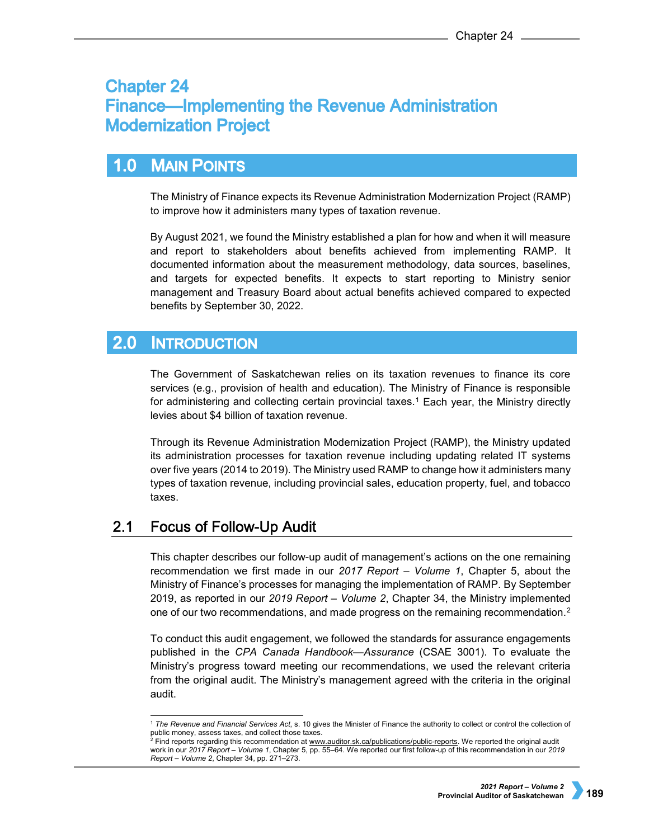# **Chapter 24 Finance—Implementing the Revenue Administration Modernization Project**

### $1.0$ **MAIN POINTS**

The Ministry of Finance expects its Revenue Administration Modernization Project (RAMP) to improve how it administers many types of taxation revenue.

By August 2021, we found the Ministry established a plan for how and when it will measure and report to stakeholders about benefits achieved from implementing RAMP. It documented information about the measurement methodology, data sources, baselines, and targets for expected benefits. It expects to start reporting to Ministry senior management and Treasury Board about actual benefits achieved compared to expected benefits by September 30, 2022.

#### **2.0 INTRODUCTION**

The Government of Saskatchewan relies on its taxation revenues to finance its core services (e.g., provision of health and education). The Ministry of Finance is responsible for administering and collecting certain provincial taxes.<sup>[1](#page-0-0)</sup> Each year, the Ministry directly levies about \$4 billion of taxation revenue.

Through its Revenue Administration Modernization Project (RAMP), the Ministry updated its administration processes for taxation revenue including updating related IT systems over five years (2014 to 2019). The Ministry used RAMP to change how it administers many types of taxation revenue, including provincial sales, education property, fuel, and tobacco taxes.

#### $2.1$ **Focus of Follow-Up Audit**

This chapter describes our follow-up audit of management's actions on the one remaining recommendation we first made in our *2017 Report – Volume 1*, Chapter 5, about the Ministry of Finance's processes for managing the implementation of RAMP. By September 2019, as reported in our *2019 Report – Volume 2*, Chapter 34, the Ministry implemented one of our two recommendations, and made progress on the remaining recommendation.<sup>[2](#page-0-1)</sup>

To conduct this audit engagement, we followed the standards for assurance engagements published in the *CPA Canada Handbook—Assurance* (CSAE 3001). To evaluate the Ministry's progress toward meeting our recommendations, we used the relevant criteria from the original audit. The Ministry's management agreed with the criteria in the original audit.

<span id="page-0-0"></span> <sup>1</sup> *The Revenue and Financial Services Act*, s. 10 gives the Minister of Finance the authority to collect or control the collection of public money, assess taxes, and collect those taxes.<br><sup>2</sup> Find reports regarding this recommendation at <u>www.auditor.sk.ca/publications/public-reports</u>. We reported the original audit

<span id="page-0-1"></span>work in our *2017 Report – Volume 1*, Chapter 5, pp. 55–64. We reported our first follow-up of this recommendation in our *2019 Report – Volume 2*, Chapter 34, pp. 271–273.